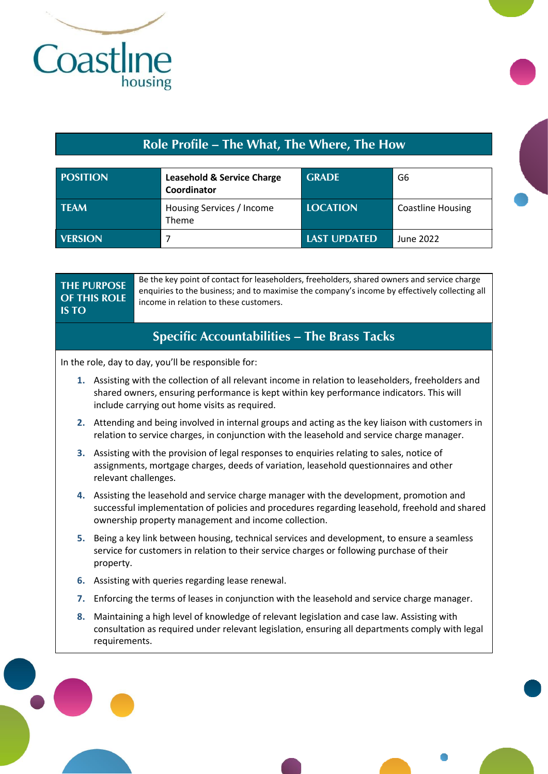

## **Role Profile – The What, The Where, The How**

| <b>POSITION</b> | <b>Leasehold &amp; Service Charge</b><br>Coordinator | <b>GRADE</b>        | G6                       |
|-----------------|------------------------------------------------------|---------------------|--------------------------|
| <b>TEAM</b>     | Housing Services / Income<br><b>Theme</b>            | <b>LOCATION</b>     | <b>Coastline Housing</b> |
| <b>VERSION</b>  |                                                      | <b>LAST UPDATED</b> | June 2022                |

| <b>IS TO</b> | <b>THE PURPOSE</b><br><b>OF THIS ROLE</b> | Be the key point of contact for leaseholders, freeholders, shared owners and service charge<br>enquiries to the business; and to maximise the company's income by effectively collecting all<br>income in relation to these customers.             |
|--------------|-------------------------------------------|----------------------------------------------------------------------------------------------------------------------------------------------------------------------------------------------------------------------------------------------------|
|              |                                           | <b>Specific Accountabilities - The Brass Tacks</b>                                                                                                                                                                                                 |
|              |                                           | In the role, day to day, you'll be responsible for:                                                                                                                                                                                                |
|              |                                           | 1. Assisting with the collection of all relevant income in relation to leaseholders, freeholders and<br>shared owners, ensuring performance is kept within key performance indicators. This will<br>include carrying out home visits as required.  |
|              |                                           | 2. Attending and being involved in internal groups and acting as the key liaison with customers in<br>relation to service charges, in conjunction with the leasehold and service charge manager.                                                   |
|              |                                           | 3. Assisting with the provision of legal responses to enquiries relating to sales, notice of<br>assignments, mortgage charges, deeds of variation, leasehold questionnaires and other<br>relevant challenges.                                      |
|              |                                           | 4. Assisting the leasehold and service charge manager with the development, promotion and<br>successful implementation of policies and procedures regarding leasehold, freehold and shared<br>ownership property management and income collection. |
| 5.           | property.                                 | Being a key link between housing, technical services and development, to ensure a seamless<br>service for customers in relation to their service charges or following purchase of their                                                            |
| 6.           |                                           | Assisting with queries regarding lease renewal.                                                                                                                                                                                                    |
| 7.           |                                           | Enforcing the terms of leases in conjunction with the leasehold and service charge manager.                                                                                                                                                        |
| 8.           | requirements.                             | Maintaining a high level of knowledge of relevant legislation and case law. Assisting with<br>consultation as required under relevant legislation, ensuring all departments comply with legal                                                      |
|              |                                           |                                                                                                                                                                                                                                                    |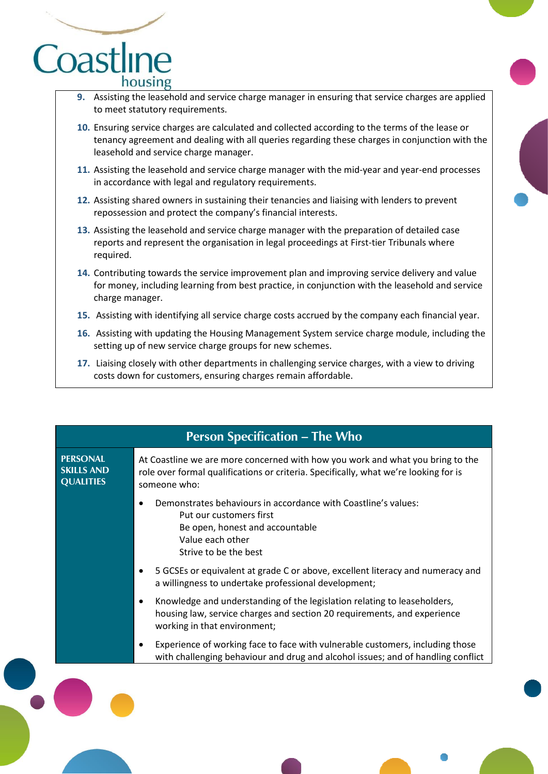

- **9.** Assisting the leasehold and service charge manager in ensuring that service charges are applied to meet statutory requirements.
- **10.** Ensuring service charges are calculated and collected according to the terms of the lease or tenancy agreement and dealing with all queries regarding these charges in conjunction with the leasehold and service charge manager.
- **11.** Assisting the leasehold and service charge manager with the mid-year and year-end processes in accordance with legal and regulatory requirements.
- **12.** Assisting shared owners in sustaining their tenancies and liaising with lenders to prevent repossession and protect the company's financial interests.
- **13.** Assisting the leasehold and service charge manager with the preparation of detailed case reports and represent the organisation in legal proceedings at First-tier Tribunals where required.
- **14.** Contributing towards the service improvement plan and improving service delivery and value for money, including learning from best practice, in conjunction with the leasehold and service charge manager.
- **15.** Assisting with identifying all service charge costs accrued by the company each financial year.
- **16.** Assisting with updating the Housing Management System service charge module, including the setting up of new service charge groups for new schemes.
- **17.** Liaising closely with other departments in challenging service charges, with a view to driving costs down for customers, ensuring charges remain affordable.

|                                                          | <b>Person Specification – The Who</b>                                                                                                                                                  |
|----------------------------------------------------------|----------------------------------------------------------------------------------------------------------------------------------------------------------------------------------------|
| <b>PERSONAL</b><br><b>SKILLS AND</b><br><b>QUALITIES</b> | At Coastline we are more concerned with how you work and what you bring to the<br>role over formal qualifications or criteria. Specifically, what we're looking for is<br>someone who: |
|                                                          | Demonstrates behaviours in accordance with Coastline's values:<br>Put our customers first<br>Be open, honest and accountable<br>Value each other<br>Strive to be the best              |
|                                                          | 5 GCSEs or equivalent at grade C or above, excellent literacy and numeracy and<br>a willingness to undertake professional development;                                                 |
|                                                          | Knowledge and understanding of the legislation relating to leaseholders,<br>housing law, service charges and section 20 requirements, and experience<br>working in that environment;   |
|                                                          | Experience of working face to face with vulnerable customers, including those<br>with challenging behaviour and drug and alcohol issues; and of handling conflict                      |